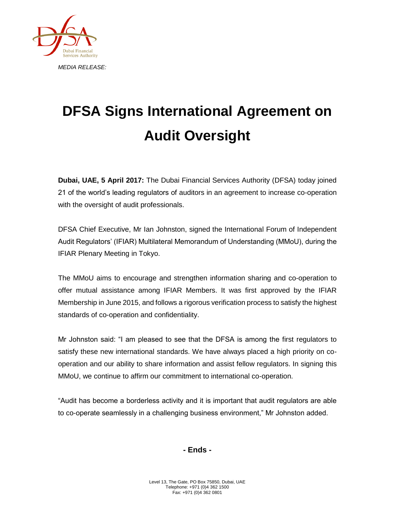

## **DFSA Signs International Agreement on Audit Oversight**

**Dubai, UAE, 5 April 2017:** The Dubai Financial Services Authority (DFSA) today joined 21 of the world's leading regulators of auditors in an agreement to increase co-operation with the oversight of audit professionals.

DFSA Chief Executive, Mr Ian Johnston, signed the International Forum of Independent Audit Regulators' (IFIAR) Multilateral Memorandum of Understanding (MMoU), during the IFIAR Plenary Meeting in Tokyo.

The MMoU aims to encourage and strengthen information sharing and co-operation to offer mutual assistance among IFIAR Members. It was first approved by the IFIAR Membership in June 2015, and follows a rigorous verification process to satisfy the highest standards of co-operation and confidentiality.

Mr Johnston said: "I am pleased to see that the DFSA is among the first regulators to satisfy these new international standards. We have always placed a high priority on cooperation and our ability to share information and assist fellow regulators. In signing this MMoU, we continue to affirm our commitment to international co-operation.

"Audit has become a borderless activity and it is important that audit regulators are able to co-operate seamlessly in a challenging business environment," Mr Johnston added.

**- Ends -**